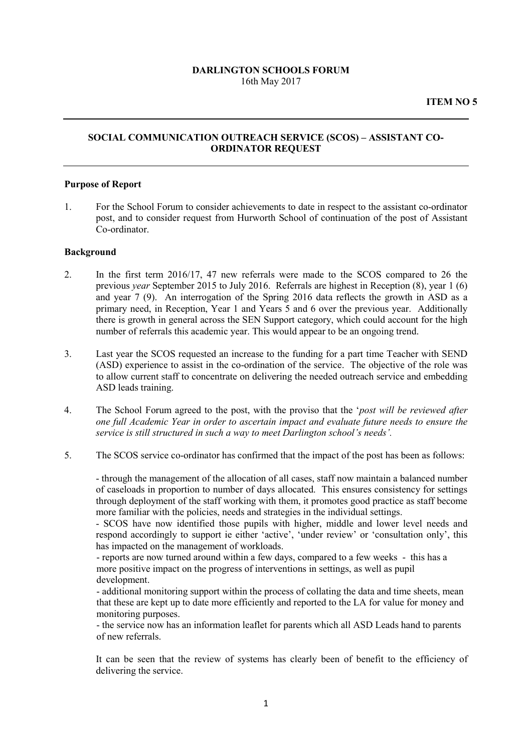### **DARLINGTON SCHOOLS FORUM** 16th May 2017

# **SOCIAL COMMUNICATION OUTREACH SERVICE (SCOS) – ASSISTANT CO-ORDINATOR REQUEST**

### **Purpose of Report**

1. For the School Forum to consider achievements to date in respect to the assistant co-ordinator post, and to consider request from Hurworth School of continuation of the post of Assistant Co-ordinator.

### **Background**

- 2. In the first term 2016/17, 47 new referrals were made to the SCOS compared to 26 the previous *year* September 2015 to July 2016. Referrals are highest in Reception (8), year 1 (6) and year 7 (9). An interrogation of the Spring 2016 data reflects the growth in ASD as a primary need, in Reception, Year 1 and Years 5 and 6 over the previous year. Additionally there is growth in general across the SEN Support category, which could account for the high number of referrals this academic year. This would appear to be an ongoing trend.
- 3. Last year the SCOS requested an increase to the funding for a part time Teacher with SEND (ASD) experience to assist in the co-ordination of the service. The objective of the role was to allow current staff to concentrate on delivering the needed outreach service and embedding ASD leads training.
- 4. The School Forum agreed to the post, with the proviso that the '*post will be reviewed after one full Academic Year in order to ascertain impact and evaluate future needs to ensure the service is still structured in such a way to meet Darlington school's needs'.*
- 5. The SCOS service co-ordinator has confirmed that the impact of the post has been as follows:

- through the management of the allocation of all cases, staff now maintain a balanced number of caseloads in proportion to number of days allocated. This ensures consistency for settings through deployment of the staff working with them, it promotes good practice as staff become more familiar with the policies, needs and strategies in the individual settings.

- SCOS have now identified those pupils with higher, middle and lower level needs and respond accordingly to support ie either 'active', 'under review' or 'consultation only', this has impacted on the management of workloads.

- reports are now turned around within a few days, compared to a few weeks - this has a more positive impact on the progress of interventions in settings, as well as pupil development.

- additional monitoring support within the process of collating the data and time sheets, mean that these are kept up to date more efficiently and reported to the LA for value for money and monitoring purposes.

- the service now has an information leaflet for parents which all ASD Leads hand to parents of new referrals.

It can be seen that the review of systems has clearly been of benefit to the efficiency of delivering the service.